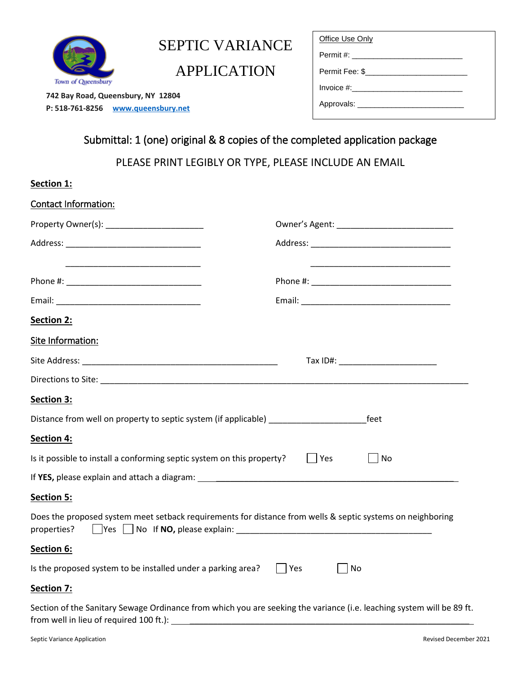

**Section 1:**

# SEPTIC VARIANCE

APPLICATION

 **742 Bay Road, Queensbury, NY 12804 P: 518-761-8256 www.queensbury.net**

| Office Use Only                              |  |
|----------------------------------------------|--|
| Permit #: __________________________________ |  |
| Permit Fee: \$                               |  |
| Invoice #:___________________________        |  |
| Approvals: _________________________         |  |
|                                              |  |

# Submittal: 1 (one) original & 8 copies of the completed application package

PLEASE PRINT LEGIBLY OR TYPE, PLEASE INCLUDE AN EMAIL

| Contact Information:                                                                                                                                             |                     |
|------------------------------------------------------------------------------------------------------------------------------------------------------------------|---------------------|
|                                                                                                                                                                  |                     |
|                                                                                                                                                                  |                     |
|                                                                                                                                                                  |                     |
|                                                                                                                                                                  |                     |
| Section 2:                                                                                                                                                       |                     |
| Site Information:                                                                                                                                                |                     |
|                                                                                                                                                                  |                     |
|                                                                                                                                                                  |                     |
| Section 3:                                                                                                                                                       |                     |
| Distance from well on property to septic system (if applicable) ________________                                                                                 | feet                |
| <b>Section 4:</b>                                                                                                                                                |                     |
| Is it possible to install a conforming septic system on this property?                                                                                           | Yes<br>No           |
|                                                                                                                                                                  |                     |
| <b>Section 5:</b>                                                                                                                                                |                     |
| Does the proposed system meet setback requirements for distance from wells & septic systems on neighboring<br>properties?                                        |                     |
| Section 6:                                                                                                                                                       |                     |
| Is the proposed system to be installed under a parking area?                                                                                                     | $\vert$ Yes<br>  No |
| <b>Section 7:</b>                                                                                                                                                |                     |
| Section of the Sanitary Sewage Ordinance from which you are seeking the variance (i.e. leaching system will be 89 ft.<br>from well in lieu of required 100 ft.): |                     |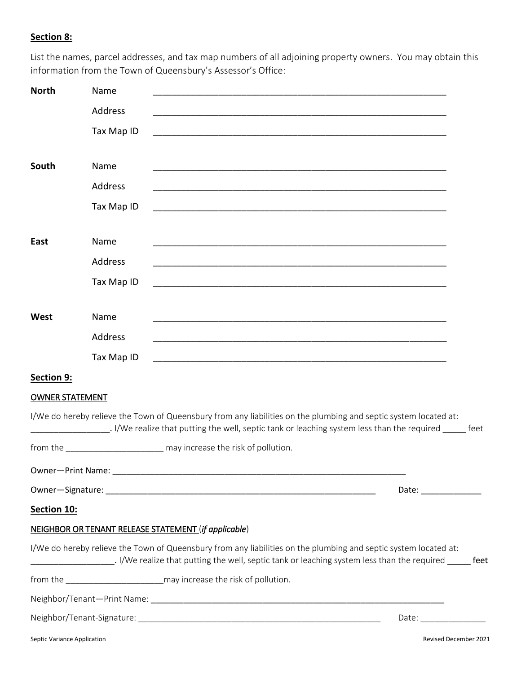### **Section 8:**

List the names, parcel addresses, and tax map numbers of all adjoining property owners. You may obtain this information from the Town of Queensbury's Assessor's Office:

| <b>North</b>                | Name       |                                                                                                                  |                       |
|-----------------------------|------------|------------------------------------------------------------------------------------------------------------------|-----------------------|
|                             | Address    |                                                                                                                  |                       |
|                             | Tax Map ID | <u> 1989 - Johann Stoff, amerikansk politiker (d. 1989)</u>                                                      |                       |
| South                       | Name       |                                                                                                                  |                       |
|                             | Address    |                                                                                                                  |                       |
|                             | Tax Map ID |                                                                                                                  |                       |
| East                        | Name       |                                                                                                                  |                       |
|                             | Address    | <u> 1989 - Johann Stoff, amerikansk politiker (d. 1989)</u>                                                      |                       |
|                             | Tax Map ID | <u> 1989 - Johann John Stein, marwolaethau (b. 1989)</u>                                                         |                       |
| West                        | Name       |                                                                                                                  |                       |
|                             | Address    | <u> 1989 - Johann John Stone, mars and deutscher Stone (1989)</u>                                                |                       |
|                             | Tax Map ID |                                                                                                                  |                       |
| Section 9:                  |            |                                                                                                                  |                       |
| <b>OWNER STATEMENT</b>      |            |                                                                                                                  |                       |
|                             |            | I/We do hereby relieve the Town of Queensbury from any liabilities on the plumbing and septic system located at: |                       |
|                             |            | from the may increase the risk of pollution.                                                                     |                       |
|                             |            |                                                                                                                  |                       |
|                             |            | Date: ______________                                                                                             |                       |
| Section 10:                 |            |                                                                                                                  |                       |
|                             |            | <b>NEIGHBOR OR TENANT RELEASE STATEMENT (if applicable)</b>                                                      |                       |
|                             |            | I/We do hereby relieve the Town of Queensbury from any liabilities on the plumbing and septic system located at: |                       |
|                             |            |                                                                                                                  |                       |
|                             |            |                                                                                                                  |                       |
|                             |            | Date: ______________                                                                                             |                       |
| Septic Variance Application |            |                                                                                                                  | Revised December 2021 |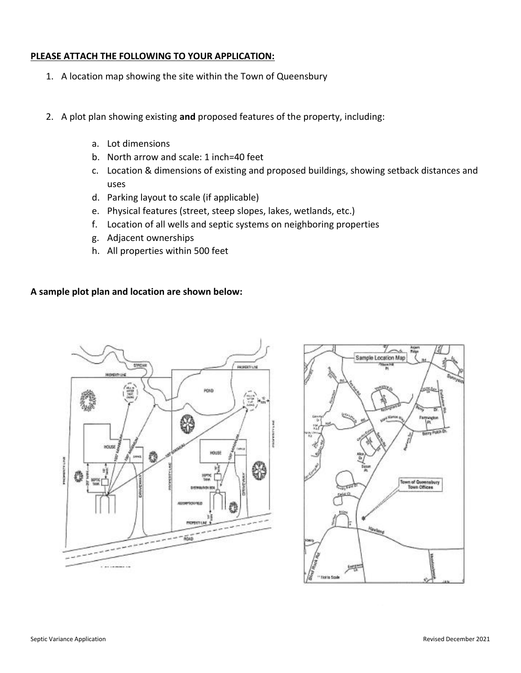#### **PLEASE ATTACH THE FOLLOWING TO YOUR APPLICATION:**

- 1. A location map showing the site within the Town of Queensbury
- 2. A plot plan showing existing **and** proposed features of the property, including:
	- a. Lot dimensions
	- b. North arrow and scale: 1 inch=40 feet
	- c. Location & dimensions of existing and proposed buildings, showing setback distances and uses
	- d. Parking layout to scale (if applicable)
	- e. Physical features (street, steep slopes, lakes, wetlands, etc.)
	- f. Location of all wells and septic systems on neighboring properties
	- g. Adjacent ownerships
	- h. All properties within 500 feet

#### **A sample plot plan and location are shown below:**